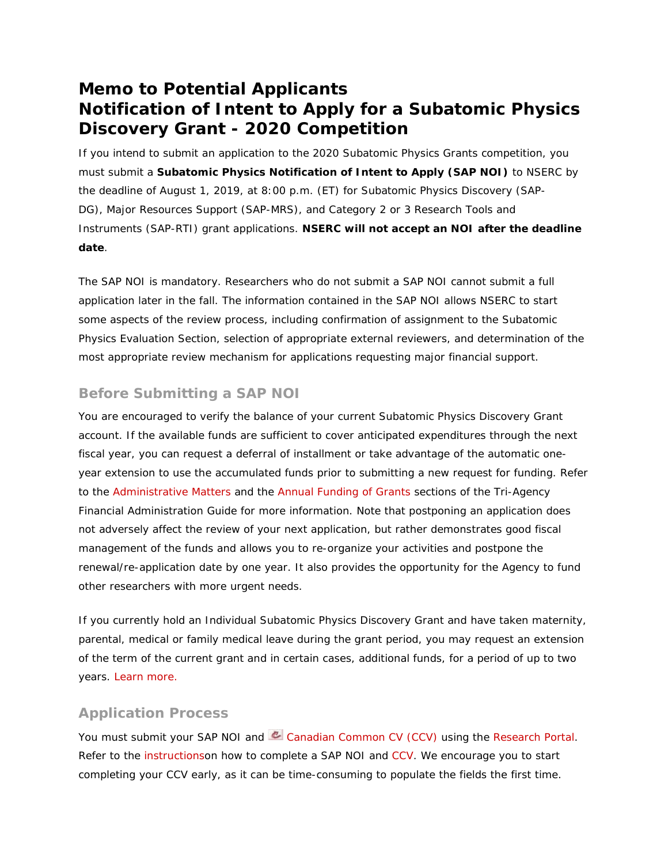# **Memo to Potential Applicants Notification of Intent to Apply for a Subatomic Physics Discovery Grant - 2020 Competition**

If you intend to submit an application to the 2020 Subatomic Physics Grants competition, you must submit a **Subatomic Physics Notification of Intent to Apply (SAP NOI)** to NSERC by the deadline of August 1, 2019, at 8:00 p.m. (ET) for Subatomic Physics Discovery (SAP-DG), Major Resources Support (SAP-MRS), and Category 2 or 3 Research Tools and Instruments (SAP-RTI) grant applications. **NSERC will not accept an NOI after the deadline date**.

The SAP NOI is mandatory. Researchers who do not submit a SAP NOI cannot submit a full application later in the fall. The information contained in the SAP NOI allows NSERC to start some aspects of the review process, including confirmation of assignment to the Subatomic Physics Evaluation Section, selection of appropriate external reviewers, and determination of the most appropriate review mechanism for applications requesting major financial support.

### **Before Submitting a SAP NOI**

You are encouraged to verify the balance of your current Subatomic Physics Discovery Grant account. If the available funds are sufficient to cover anticipated expenditures through the next fiscal year, you can request a deferral of installment or take advantage of the automatic oneyear extension to use the accumulated funds prior to submitting a new request for funding. Refer to the [Administrative Matters](http://www.nserc-crsng.gc.ca/Professors-Professeurs/FinancialAdminGuide-GuideAdminFinancier/AdminMatters-QuestionAdmin_eng.asp) and the [Annual Funding of Grants](http://www.nserc-crsng.gc.ca/Professors-Professeurs/FinancialAdminGuide-GuideAdminFinancier/AnnualFunding-FinancementAnnuel_eng.asp) sections of the *Tri-Agency Financial Administration Guide* for more information. Note that postponing an application does not adversely affect the review of your next application, but rather demonstrates good fiscal management of the funds and allows you to re-organize your activities and postpone the renewal/re-application date by one year. It also provides the opportunity for the Agency to fund other researchers with more urgent needs.

If you currently hold an Individual Subatomic Physics Discovery Grant and have taken maternity, parental, medical or family medical leave during the grant period, you may request an extension of the term of the current grant and in certain cases, additional funds, for a period of up to two years. [Learn more.](http://www.nserc-crsng.gc.ca/NSERC-CRSNG/Policies-Politiques/Wleave-Fconges_eng.asp)

### **Application Process**

You must submit your SAP NOI and  $\mathbb{C}$  Canadian [Common CV \(CCV\)](https://ccv-cvc.ca/indexresearcher-eng.frm) using the [Research Portal.](http://www.nserc-crsng.gc.ca/ResearchPortal-PortailDeRecherche/index_eng.asp) Refer to the [instructionso](http://www.nserc-crsng.gc.ca/ResearchPortal-PortailDeRecherche/Instructions-Instructions/index_eng.asp)n how to complete a SAP NOI and [CCV.](http://www.nserc-crsng.gc.ca/ResearchPortal-PortailDeRecherche/Instructions-Instructions/ccv-cvc_eng.asp) We encourage you to start completing your CCV early, as it can be time-consuming to populate the fields the first time.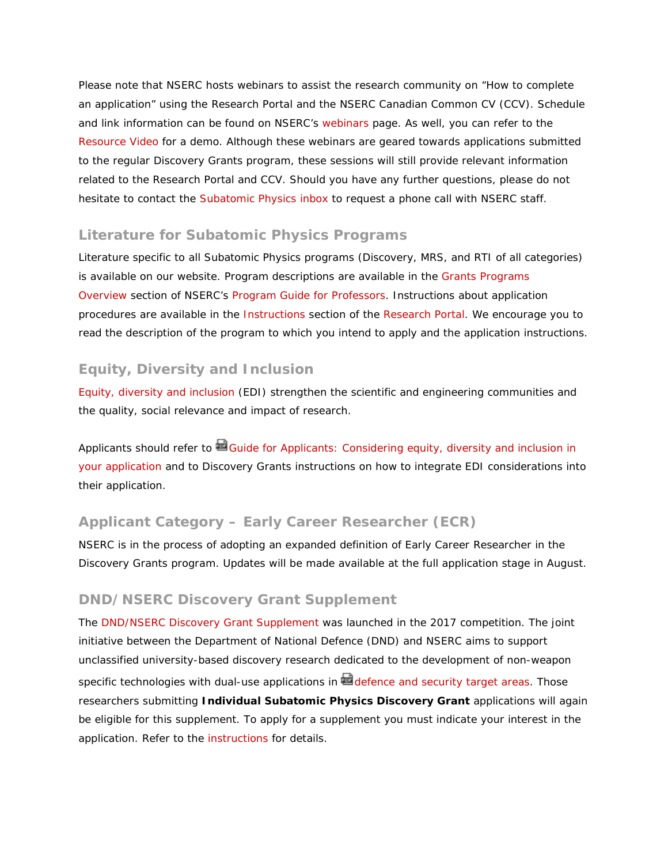Please note that NSERC hosts webinars to assist the research community on "How to complete an application" using the Research Portal and the NSERC Canadian Common CV (CCV). Schedule and link information can be found on NSERC's [webinars](http://www.nserc-crsng.gc.ca/ResearchPortal-PortailDeRecherche/RP-CCV-Webinar_eng.asp) page. As well, you can refer to the [Resource Video](http://www.nserc-crsng.gc.ca/Professors-Professeurs/Videos-Videos/NOI-AI_eng.asp) for a demo. Although these webinars are geared towards applications submitted to the regular Discovery Grants program, these sessions will still provide relevant information related to the Research Portal and CCV. Should you have any further questions, please do not hesitate to contact the [Subatomic Physics inbox](mailto:resgrants-subatomicphysics@nserc-crsng.gc.ca) to request a phone call with NSERC staff.

### **Literature for Subatomic Physics Programs**

Literature specific to all Subatomic Physics programs (Discovery, MRS, and RTI of all categories) is available on our website. Program descriptions are available in the [Grants Programs](http://www.nserc-crsng.gc.ca/Professors-Professeurs/Grants-Subs/index_eng.asp)  [Overview](http://www.nserc-crsng.gc.ca/Professors-Professeurs/Grants-Subs/index_eng.asp) section of NSERC's [Program Guide for Professors.](http://www.nserc-crsng.gc.ca/Professors-Professeurs/Index_eng.asp) Instructions about application procedures are available in the [Instructions](http://www.nserc-crsng.gc.ca/ResearchPortal-PortailDeRecherche/Instructions-Instructions/index_eng.asp) section of the [Research Portal.](http://www.nserc-crsng.gc.ca/ResearchPortal-PortailDeRecherche/Index_eng.asp) We encourage you to read the description of the program to which you intend to apply and the application instructions.

### **Equity, Diversity and Inclusion**

[Equity, diversity and inclusion](http://www.nserc-crsng.gc.ca/NSERC-CRSNG/EDI-EDI/index_eng.asp) (EDI) strengthen the scientific and engineering communities and the quality, social relevance and impact of research.

Applicants should refer to Guide for Applicants: Considering equity, diversity and inclusion in [your application](http://www.nserc-crsng.gc.ca/_doc/EDI/Guide_for_Applicants_EN.pdf) and to Discovery Grants instructions on how to integrate EDI considerations into their application.

### **Applicant Category – Early Career Researcher (ECR)**

NSERC is in the process of adopting an expanded definition of Early Career Researcher in the Discovery Grants program. Updates will be made available at the full application stage in August.

### **DND/NSERC Discovery Grant Supplement**

The [DND/NSERC Discovery Grant Supplement](http://www.nserc-crsng.gc.ca/Professors-Professeurs/Grants-Subs/DND-NSERC_eng.asp) was launched in the 2017 competition. The joint initiative between the Department of National Defence (DND) and NSERC aims to support unclassified university-based discovery research dedicated to the development of non-weapon specific technologies with dual-use applications in  $\blacksquare$  [defence and security target areas.](http://www.nserc-crsng.gc.ca/_doc/Professors-Professeurs/DND-NSERC_e.pdf) Those researchers submitting **Individual Subatomic Physics Discovery Grant** applications will again be eligible for this supplement. To apply for a supplement you must indicate your interest in the application. Refer to the [instructions](http://www.nserc-crsng.gc.ca/ResearchPortal-PortailDeRecherche/Instructions-Instructions/SAP_DG-SD_PSA_eng.asp) for details.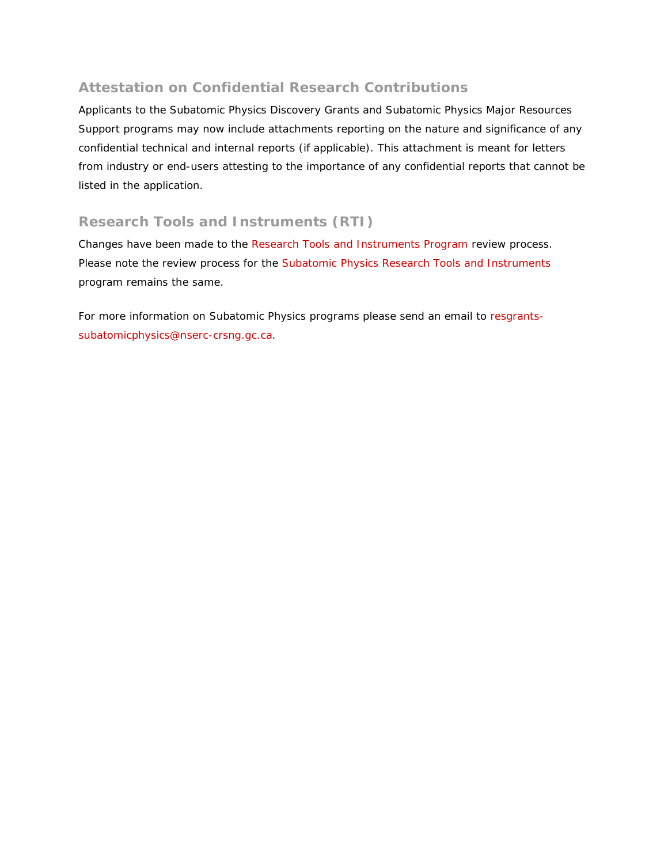## **Attestation on Confidential Research Contributions**

Applicants to the Subatomic Physics Discovery Grants and Subatomic Physics Major Resources Support programs may now include attachments reporting on the nature and significance of any confidential technical and internal reports (if applicable). This attachment is meant for letters from industry or end-users attesting to the importance of any confidential reports that cannot be listed in the application.

## **Research Tools and Instruments (RTI)**

Changes have been made to the [Research Tools and Instruments Program](http://www.nserc-crsng.gc.ca/Professors-Professeurs/RTII-OIRI/RTI-OIR_eng.asp) review process. Please note the review process for the Subatomic [Physics Research Tools and Instruments](http://www.nserc-crsng.gc.ca/Professors-Professeurs/Grants-Subs/SPRTI-SOIPS_eng.asp) program remains the same.

For more information on Subatomic Physics programs please send an email to [resgrants](mailto:resgrants-subatomicphysics@nserc-crsng.gc.ca)[subatomicphysics@nserc-crsng.gc.ca.](mailto:resgrants-subatomicphysics@nserc-crsng.gc.ca)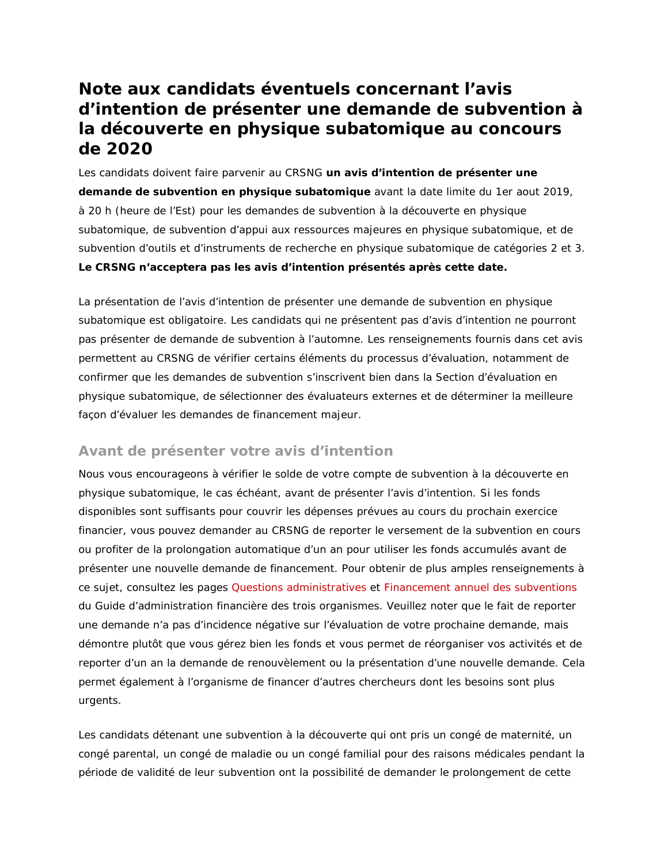# **Note aux candidats éventuels concernant l'avis d'intention de présenter une demande de subvention à la découverte en physique subatomique au concours de 2020**

Les candidats doivent faire parvenir au CRSNG **un avis d'intention de présenter une demande de subvention en physique subatomique** avant la date limite du 1er aout 2019, à 20 h (heure de l'Est) pour les demandes de subvention à la découverte en physique subatomique, de subvention d'appui aux ressources majeures en physique subatomique, et de subvention d'outils et d'instruments de recherche en physique subatomique de catégories 2 et 3. **Le CRSNG n'acceptera pas les avis d'intention présentés après cette date.**

La présentation de l'avis d'intention de présenter une demande de subvention en physique subatomique est obligatoire. Les candidats qui ne présentent pas d'avis d'intention ne pourront pas présenter de demande de subvention à l'automne. Les renseignements fournis dans cet avis permettent au CRSNG de vérifier certains éléments du processus d'évaluation, notamment de confirmer que les demandes de subvention s'inscrivent bien dans la Section d'évaluation en physique subatomique, de sélectionner des évaluateurs externes et de déterminer la meilleure façon d'évaluer les demandes de financement majeur.

## **Avant de présenter votre avis d'intention**

Nous vous encourageons à vérifier le solde de votre compte de subvention à la découverte en physique subatomique, le cas échéant, avant de présenter l'avis d'intention. Si les fonds disponibles sont suffisants pour couvrir les dépenses prévues au cours du prochain exercice financier, vous pouvez demander au CRSNG de reporter le versement de la subvention en cours ou profiter de la prolongation automatique d'un an pour utiliser les fonds accumulés avant de présenter une nouvelle demande de financement. Pour obtenir de plus amples renseignements à ce sujet, consultez les pages [Questions administratives](http://www.nserc-crsng.gc.ca/Professors-Professeurs/FinancialAdminGuide-GuideAdminFinancier/AdminMatters-QuestionAdmin_fra.asp) et [Financement annuel des subventions](http://www.nserc-crsng.gc.ca/Professors-Professeurs/FinancialAdminGuide-GuideAdminFinancier/AnnualFunding-FinancementAnnuel_fra.asp) du *Guide d'administration financière des trois organismes*. Veuillez noter que le fait de reporter une demande n'a pas d'incidence négative sur l'évaluation de votre prochaine demande, mais démontre plutôt que vous gérez bien les fonds et vous permet de réorganiser vos activités et de reporter d'un an la demande de renouvèlement ou la présentation d'une nouvelle demande. Cela permet également à l'organisme de financer d'autres chercheurs dont les besoins sont plus urgents.

Les candidats détenant une subvention à la découverte qui ont pris un congé de maternité, un congé parental, un congé de maladie ou un congé familial pour des raisons médicales pendant la période de validité de leur subvention ont la possibilité de demander le prolongement de cette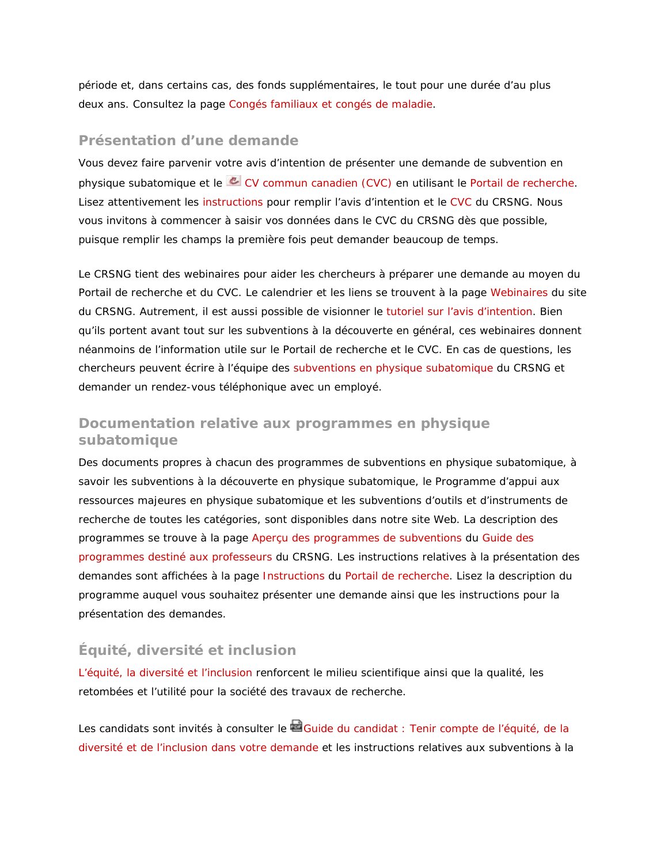période et, dans certains cas, des fonds supplémentaires, le tout pour une durée d'au plus deux ans. Consultez la page [Congés familiaux et congés de maladie.](http://www.nserc-crsng.gc.ca/NSERC-CRSNG/Policies-Politiques/Wleave-Fconges_fra.asp)

#### **Présentation d'une demande**

Vous devez faire parvenir votre avis d'intention de présenter une demande de subvention en physique subatomique et le [CV commun canadien \(CVC\)](https://ccv-cvc.ca/indexresearcher-fra.frm) en utilisant le [Portail de recherche.](http://www.nserc-crsng.gc.ca/ResearchPortal-PortailDeRecherche/index_fra.asp) Lisez attentivement les [instructions](http://www.nserc-crsng.gc.ca/ResearchPortal-PortailDeRecherche/Instructions-Instructions/index_fra.asp) pour remplir l'avis d'intention et le [CVC](http://www.nserc-crsng.gc.ca/ResearchPortal-PortailDeRecherche/Instructions-Instructions/ccv-cvc_fra.asp) du CRSNG. Nous vous invitons à commencer à saisir vos données dans le CVC du CRSNG dès que possible, puisque remplir les champs la première fois peut demander beaucoup de temps.

Le CRSNG tient des webinaires pour aider les chercheurs à préparer une demande au moyen du Portail de recherche et du CVC. Le calendrier et les liens se trouvent à la page [Webinaires](http://www.nserc-crsng.gc.ca/ResearchPortal-PortailDeRecherche/RP-CCV-Webinar_fra.asp) du site du CRSNG. Autrement, il est aussi possible de visionner le [tutoriel sur l'avis d'intention.](http://www.nserc-crsng.gc.ca/Professors-Professeurs/Videos-Videos/NOI-AI_fra.asp) Bien qu'ils portent avant tout sur les subventions à la découverte en général, ces webinaires donnent néanmoins de l'information utile sur le Portail de recherche et le CVC. En cas de questions, les chercheurs peuvent écrire à l'équipe des [subventions en physique subatomique](mailto:resgrants-subatomicphysics@nserc-crsng.gc.ca) du CRSNG et demander un rendez-vous téléphonique avec un employé.

### **Documentation relative aux programmes en physique subatomique**

Des documents propres à chacun des programmes de subventions en physique subatomique, à savoir les subventions à la découverte en physique subatomique, le Programme d'appui aux ressources majeures en physique subatomique et les subventions d'outils et d'instruments de recherche de toutes les catégories, sont disponibles dans notre site Web. La description des programmes se trouve à la page [Aperçu des programmes de subventions](http://www.nserc-crsng.gc.ca/Professors-Professeurs/Grants-Subs/index_fra.asp) du [Guide des](http://www.nserc-crsng.gc.ca/Professors-Professeurs/Index_fra.asp)  [programmes destiné aux professeurs](http://www.nserc-crsng.gc.ca/Professors-Professeurs/Index_fra.asp) du CRSNG. Les instructions relatives à la présentation des demandes sont affichées à la page [Instructions](http://www.nserc-crsng.gc.ca/ResearchPortal-PortailDeRecherche/Instructions-Instructions/index_fra.asp) du [Portail de recherche.](http://www.nserc-crsng.gc.ca/ResearchPortal-PortailDeRecherche/Index_fra.asp) Lisez la description du programme auquel vous souhaitez présenter une demande ainsi que les instructions pour la présentation des demandes.

### **Équité, diversité et inclusion**

[L'équité, la diversité et l'inclusion](http://www.nserc-crsng.gc.ca/NSERC-CRSNG/EDI-EDI/index_fra.asp) renforcent le milieu scientifique ainsi que la qualité, les retombées et l'utilité pour la société des travaux de recherche.

Les candidats sont invités à consulter le **Guide du candidat : Tenir compte de l'équité**, de la [diversité et de l'inclusion dans votre demande](http://www.nserc-crsng.gc.ca/_doc/EDI/Guide_for_Applicants_FR.pdf) et les instructions relatives aux subventions à la